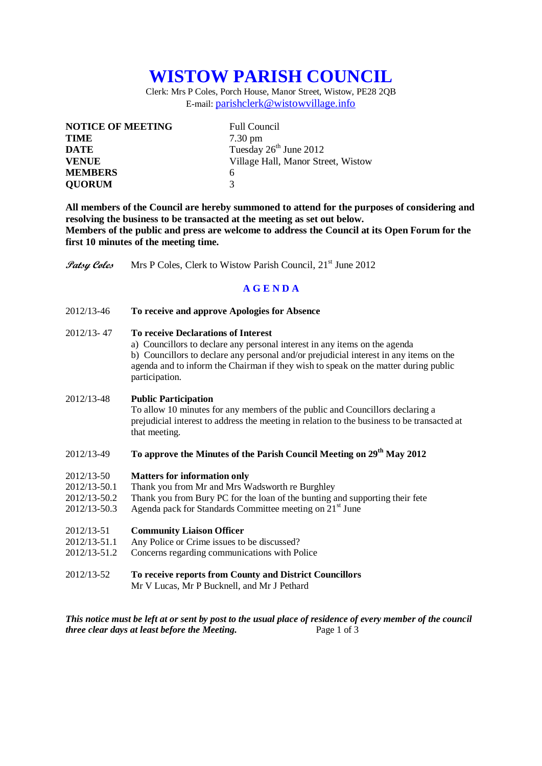# **WISTOW PARISH COUNCIL**

Clerk: Mrs P Coles, Porch House, Manor Street, Wistow, PE28 2QB E-mail: [parishclerk@wistowvillage.info](mailto:parishclerk@wistowvillage.info)

| <b>NOTICE OF MEETING</b> | <b>Full Council</b>                |
|--------------------------|------------------------------------|
| <b>TIME</b>              | $7.30 \text{ pm}$                  |
| DATE                     | Tuesday 26 <sup>th</sup> June 2012 |
| <b>VENUE</b>             | Village Hall, Manor Street, Wistow |
| <b>MEMBERS</b>           | 6                                  |
| <b>QUORUM</b>            | 3                                  |

**All members of the Council are hereby summoned to attend for the purposes of considering and resolving the business to be transacted at the meeting as set out below. Members of the public and press are welcome to address the Council at its Open Forum for the first 10 minutes of the meeting time.**

**Patsy Coles** Mrs P Coles, Clerk to Wistow Parish Council, 21<sup>st</sup> June 2012

## **A G E N D A**

2012/13-46 **To receive and approve Apologies for Absence**

### 2012/13- 47 **To receive Declarations of Interest**

a) Councillors to declare any personal interest in any items on the agenda b) Councillors to declare any personal and/or prejudicial interest in any items on the agenda and to inform the Chairman if they wish to speak on the matter during public participation.

#### 2012/13-48 **Public Participation**

To allow 10 minutes for any members of the public and Councillors declaring a prejudicial interest to address the meeting in relation to the business to be transacted at that meeting.

## 2012/13-49 **To approve the Minutes of the Parish Council Meeting on 29 th May 2012**

- 2012/13-50 **Matters for information only**
- 2012/13-50.1 Thank you from Mr and Mrs Wadsworth re Burghley
- 2012/13-50.2 Thank you from Bury PC for the loan of the bunting and supporting their fete
- 2012/13-50.3 Agenda pack for Standards Committee meeting on  $21<sup>st</sup>$  June

#### 2012/13-51 **Community Liaison Officer**

- 2012/13-51.1 Any Police or Crime issues to be discussed?
- 2012/13-51.2 Concerns regarding communications with Police
- 2012/13-52 **To receive reports from County and District Councillors** Mr V Lucas, Mr P Bucknell, and Mr J Pethard

*This notice must be left at or sent by post to the usual place of residence of every member of the council three clear days at least before the Meeting.* Page 1 of 3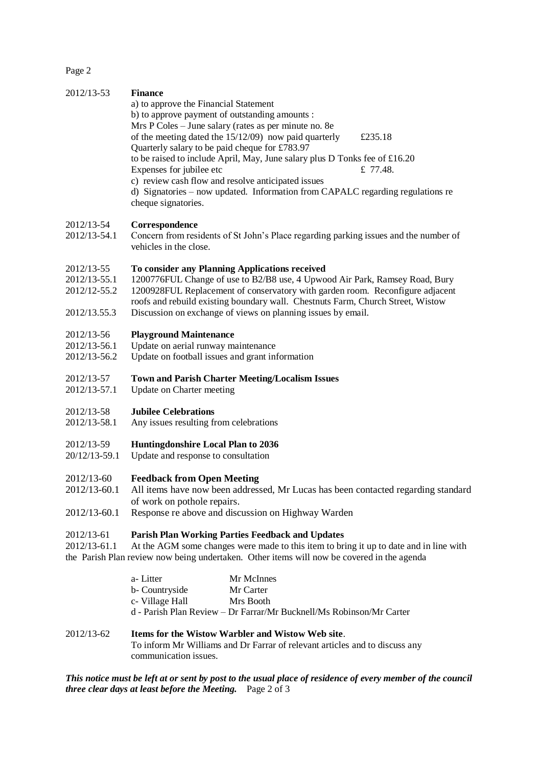Page 2

| 2012/13-53                                                 | <b>Finance</b><br>a) to approve the Financial Statement<br>b) to approve payment of outstanding amounts :<br>Mrs P Coles - June salary (rates as per minute no. 8e<br>of the meeting dated the $15/12/09$ now paid quarterly<br>£235.18<br>Quarterly salary to be paid cheque for £783.97<br>to be raised to include April, May, June salary plus D Tonks fee of £16.20<br>Expenses for jubilee etc<br>£ 77.48.<br>c) review cash flow and resolve anticipated issues<br>d) Signatories - now updated. Information from CAPALC regarding regulations re<br>cheque signatories. |
|------------------------------------------------------------|--------------------------------------------------------------------------------------------------------------------------------------------------------------------------------------------------------------------------------------------------------------------------------------------------------------------------------------------------------------------------------------------------------------------------------------------------------------------------------------------------------------------------------------------------------------------------------|
| 2012/13-54<br>2012/13-54.1                                 | Correspondence<br>Concern from residents of St John's Place regarding parking issues and the number of<br>vehicles in the close.                                                                                                                                                                                                                                                                                                                                                                                                                                               |
| 2012/13-55<br>2012/13-55.1<br>2012/12-55.2<br>2012/13.55.3 | To consider any Planning Applications received<br>1200776FUL Change of use to B2/B8 use, 4 Upwood Air Park, Ramsey Road, Bury<br>1200928FUL Replacement of conservatory with garden room. Reconfigure adjacent<br>roofs and rebuild existing boundary wall. Chestnuts Farm, Church Street, Wistow<br>Discussion on exchange of views on planning issues by email.                                                                                                                                                                                                              |
| 2012/13-56<br>2012/13-56.1<br>2012/13-56.2                 | <b>Playground Maintenance</b><br>Update on aerial runway maintenance<br>Update on football issues and grant information                                                                                                                                                                                                                                                                                                                                                                                                                                                        |
| 2012/13-57<br>2012/13-57.1                                 | <b>Town and Parish Charter Meeting/Localism Issues</b><br>Update on Charter meeting                                                                                                                                                                                                                                                                                                                                                                                                                                                                                            |
| 2012/13-58<br>2012/13-58.1                                 | <b>Jubilee Celebrations</b><br>Any issues resulting from celebrations                                                                                                                                                                                                                                                                                                                                                                                                                                                                                                          |
| 2012/13-59<br>20/12/13-59.1                                | <b>Huntingdonshire Local Plan to 2036</b><br>Update and response to consultation                                                                                                                                                                                                                                                                                                                                                                                                                                                                                               |
| 2012/13-60<br>2012/13-60.1<br>2012/13-60.1                 | <b>Feedback from Open Meeting</b><br>All items have now been addressed, Mr Lucas has been contacted regarding standard<br>of work on pothole repairs.<br>Response re above and discussion on Highway Warden                                                                                                                                                                                                                                                                                                                                                                    |
| 2012/13-61<br>2012/13-61.1                                 | Parish Plan Working Parties Feedback and Updates<br>At the AGM some changes were made to this item to bring it up to date and in line with<br>the Parish Plan review now being undertaken. Other items will now be covered in the agenda                                                                                                                                                                                                                                                                                                                                       |
|                                                            | a-Litter<br>Mr McInnes<br>b- Countryside<br>Mr Carter<br>c- Village Hall<br>Mrs Booth<br>d - Parish Plan Review - Dr Farrar/Mr Bucknell/Ms Robinson/Mr Carter                                                                                                                                                                                                                                                                                                                                                                                                                  |
|                                                            |                                                                                                                                                                                                                                                                                                                                                                                                                                                                                                                                                                                |

# 2012/13-62 **Items for the Wistow Warbler and Wistow Web site**. To inform Mr Williams and Dr Farrar of relevant articles and to discuss any communication issues.

*This notice must be left at or sent by post to the usual place of residence of every member of the council three clear days at least before the Meeting.* Page 2 of 3